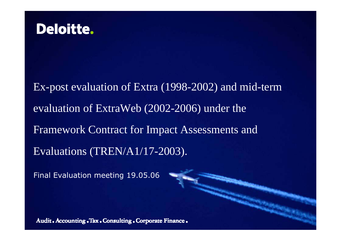

Ex-post evaluation of Extra (1998-2002) and mid-term evaluation of ExtraWeb (2002-2006) under the Framework Contract for Impact Assessments and Evaluations (TREN/A1/17-2003).

Final Evaluation meeting 19.05.06

Audit. Accounting. Tax. Consulting. Corporate Finance.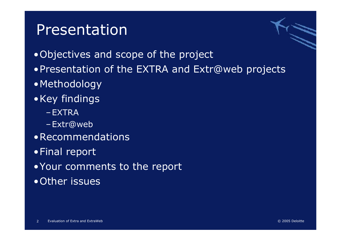#### Presentation



•Objectives and scope of the project

- •Presentation of the EXTRA and Extr@web projects
- •Methodology
- •Key findings
	- –EXTRA
	- –Extr@web
- •Recommendations
- •Final report
- •Your comments to the report
- •Other issues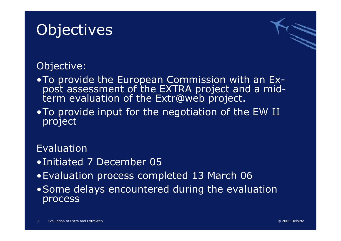# **Objectives**

#### Objective:

- •To provide the European Commission with an Ex- post assessment of the EXTRA project and a mid- term evaluation of the Extr@web project.
- •To provide input for the negotiation of the EW II project

#### Evaluation

- •Initiated 7 December 05
- •Evaluation process completed 13 March 06
- •Some delays encountered during the evaluation process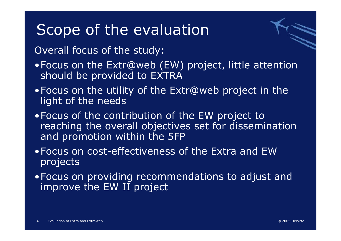#### Scope of the evaluation



Overall focus of the study:

- •Focus on the Extr@web (EW) project, little attention should be provided to EXTRA
- •Focus on the utility of the Extr@web project in the light of the needs
- •Focus of the contribution of the EW project to reaching the overall objectives set for dissemination and promotion within the 5FP
- •Focus on cost-effectiveness of the Extra and EW projects
- •Focus on providing recommendations to adjust and improve the EW II project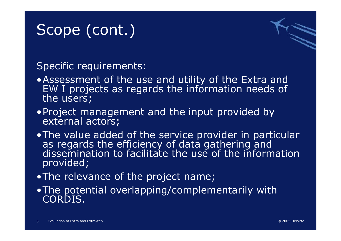# Scope (cont.)

Specific requirements:

- •Assessment of the use and utility of the Extra and EW I projects as regards the information needs of the users;
- •Project management and the input provided by external actors;
- •The value added of the service provider in particular<br>as regards the efficiency of data gathering and dissemination to facilitate the use of the information provided;
- •The relevance of the project name;
- •The potential overlapping/complementarily with CORDIS.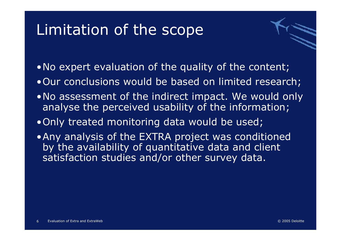### Limitation of the scope

- •No expert evaluation of the quality of the content;
- •Our conclusions would be based on limited research;
- •No assessment of the indirect impact. We would only analyse the perceived usability of the information;
- •Only treated monitoring data would be used;
- •Any analysis of the EXTRA project was conditioned by the availability of quantitative data and client satisfaction studies and/or other survey data.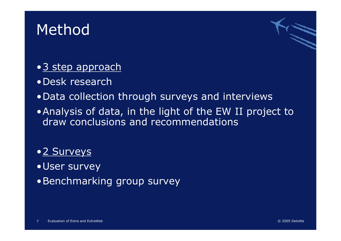### **Method**



- •Desk research
- •Data collection through surveys and interviews
- •Analysis of data, in the light of the EW II project to draw conclusions and recommendations

#### •2 Surveys

- •User survey
- •Benchmarking group survey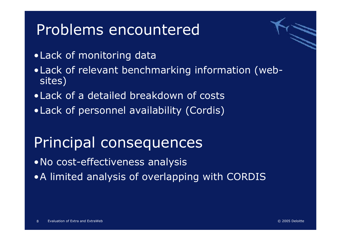### Problems encountered

- •Lack of monitoring data
- •Lack of relevant benchmarking information (websites)
- •Lack of a detailed breakdown of costs
- •Lack of personnel availability (Cordis)

### Principal consequences

•No cost-effectiveness analysis

•A limited analysis of overlapping with CORDIS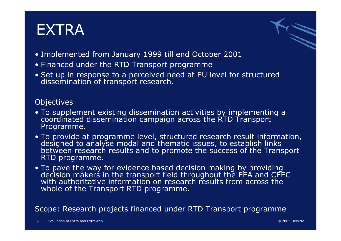### EXTRA



- Implemented from January 1999 till end October 2001
- Financed under the RTD Transport programme
- Set up in response to a perceived need at EU level for structured<br>dissemination of transport research.

#### **Objectives**

- To supplement existing dissemination activities by implementing a coordinated dissemination campaign across the RTD Transport Programme.
- To provide at programme level, structured research result information, designed to analyse modal and thematic issues, to establish links between research results and to promote the success of the Transport RTD programme.
- To pave the way for evidence based decision making by providing<br>decision makers in the transport field throughout the EEA and CEEC<br>with authoritative information on research results from across the whole of the Transport RTD programme.

Scope: Research projects financed under RTD Transport programme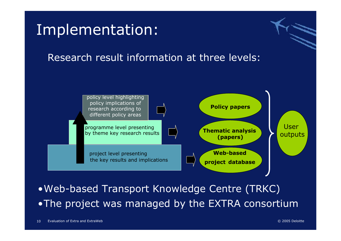

•Web-based Transport Knowledge Centre (TRKC) •The project was managed by the EXTRA consortium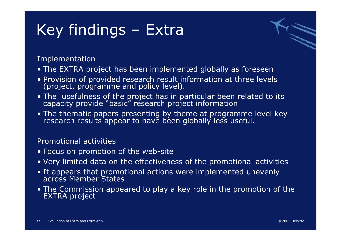# Key findings – Extra

Implementation

- The EXTRA project has been implemented globally as foreseen
- Provision of provided research result information at three levels (project, programme and policy level).
- The usefulness of the project has in particular been related to its capacity provide "basic" research project information
- The thematic papers presenting by theme at programme level key research results appear to have been globally less useful.

#### Promotional activities

- Focus on promotion of the web-site
- Very limited data on the effectiveness of the promotional activities
- It appears that promotional actions were implemented unevenly across Member States
- The Commission appeared to play a key role in the promotion of the EXTRA project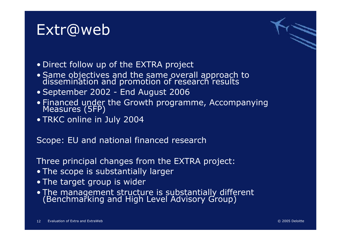#### Extr@web



- Direct follow up of the EXTRA project
- Same objectives and the same overall approach to dissemination and promotion of research results
- September 2002 End August 2006
- Financed under the Growth programme, Accompanying<br>Measures (5FP)
- TRKC online in July 2004

Scope: EU and national financed research

Three principal changes from the EXTRA project:

- The scope is substantially larger
- The target group is wider
- The management structure is substantially different (Benchmarking and High Level Advisory Group)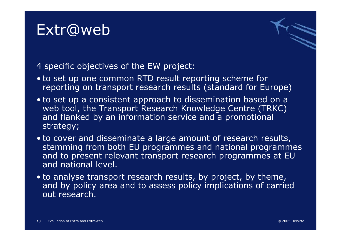### Extr@web



#### 4 specific objectives of the EW project:

- to set up one common RTD result reporting scheme for reporting on transport research results (standard for Europe)
- to set up a consistent approach to dissemination based on a web tool, the Transport Research Knowledge Centre (TRKC) and flanked by an information service and a promotional strategy;
- to cover and disseminate a large amount of research results, stemming from both EU programmes and national programmes and to present relevant transport research programmes at EU and national level.
- to analyse transport research results, by project, by theme, and by policy area and to assess policy implications of carried out research.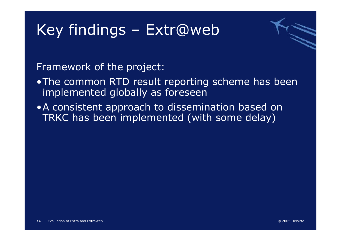

Framework of the project:

- •The common RTD result reporting scheme has been implemented globally as foreseen
- •A consistent approach to dissemination based on TRKC has been implemented (with some delay)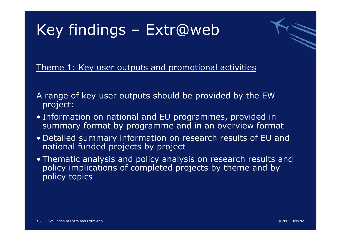

Theme 1: Key user outputs and promotional activities

- A range of key user outputs should be provided by the EW project:
- Information on national and EU programmes, provided in summary format by programme and in an overview format
- Detailed summary information on research results of EU and national funded projects by project
- Thematic analysis and policy analysis on research results and policy implications of completed projects by theme and by policy topics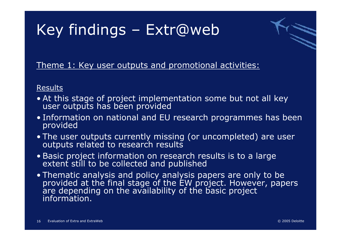

Theme 1: Key user outputs and promotional activities:

#### Results

- At this stage of project implementation some but not all key user outputs has been provided
- Information on national and EU research programmes has been provided
- The user outputs currently missing (or uncompleted) are user<br>outputs related to research results
- Basic project information on research results is to a large<br>extent still to be collected and published
- Thematic analysis and policy analysis papers are only to be provided at the final stage of the EW project. However, papers are depending on the availability of the basic project information.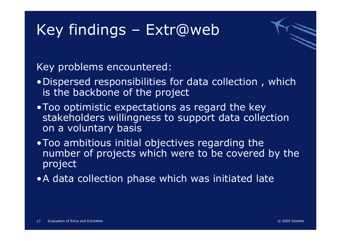

Key problems encountered:

- •Dispersed responsibilities for data collection , which is the backbone of the project
- •Too optimistic expectations as regard the key stakeholders willingness to support data collection on a voluntary basis
- •Too ambitious initial objectives regarding the number of projects which were to be covered by the project
- •A data collection phase which was initiated late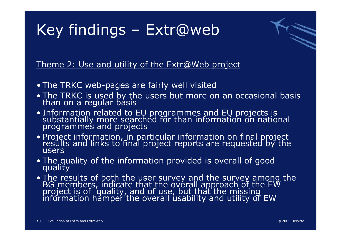

Theme 2: Use and utility of the Extr@Web project

- The TRKC web-pages are fairly well visited
- The TRKC is used by the users but more on an occasional basis than on a regular basis
- Information related to EU programmes and EU projects is<br>substantially more searched for than information on national<br>programmes and projects
- Project information, in particular information on final project results and links to final project reports are requested by the users
- The quality of the information provided is overall of good quality
- The results of both the user survey and the survey among the<br>BG members, indicate that the overall approach of the EW<br>project is of quality, and of use, but that the missing<br>information hamper the overall usability and u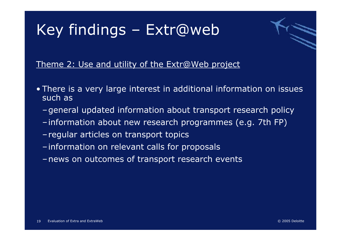

Theme 2: Use and utility of the Extr@Web project

- There is a very large interest in additional information on issues such as
	- –general updated information about transport research policy
	- –information about new research programmes (e.g. 7th FP)
	- regular articles on transport topics
	- –information on relevant calls for proposals
	- –news on outcomes of transport research events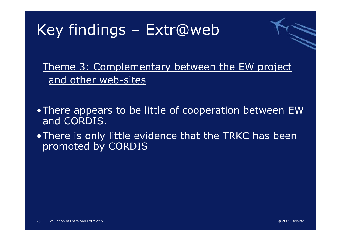

Theme 3: Complementary between the EW project and other web-sites

- •There appears to be little of cooperation between EW and CORDIS.
- •There is only little evidence that the TRKC has been promoted by CORDIS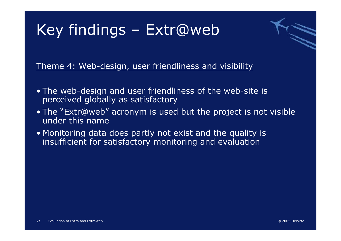

Theme 4: Web-design, user friendliness and visibility

- The web-design and user friendliness of the web-site is perceived globally as satisfactory
- The "Extr@web" acronym is used but the project is not visible under this name
- Monitoring data does partly not exist and the quality is insufficient for satisfactory monitoring and evaluation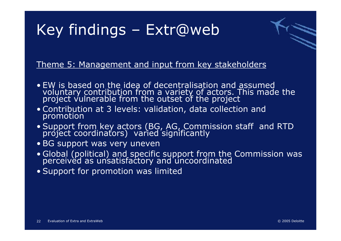

#### Theme 5: Management and input from key stakeholders

- EW is based on the idea of decentralisation and assumed voluntary contribution from a variety of actors. This made the project vulnerable from the outset of the project
- Contribution at 3 levels: validation, data collection and promotion
- Support from key actors (BG, AG, Commission staff and RTD project coordinators) varied significantly
- BG support was very uneven
- Global (political) and specific support from the Commission was perceived as unsatisfactory and uncoordinated
- Support for promotion was limited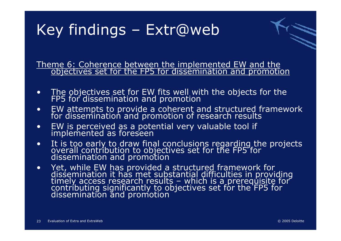Theme 6: Coherence between the implemented EW and the objectives set for the FP5 for dissemination and promotion

- •The objectives set for EW fits well with the objects for the FP5 for dissemination and promotion
- •EW attempts to provide a coherent and structured framework for dissemination and promotion of research results
- •EW is perceived as a potential very valuable tool if implemented as foreseen
- •It is too early to draw final conclusions regarding the projects overall contribution to objectives set for the FP5 for dissemination and promotion
- •Yet, while EW has provided a structured framework for<br>dissemination it has met substantial difficulties in providing<br>timely access research results – which is a prerequisite for<br>contributing significantly to objectives set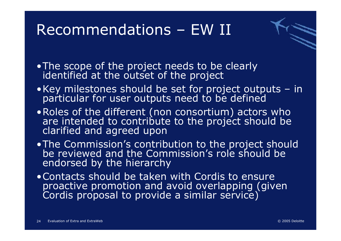### Recommendations – EW II



- •The scope of the project needs to be clearly identified at the outset of the project
- •Key milestones should be set for project outputs in particular for user outputs need to be defined
- •Roles of the different (non consortium) actors who are intended to contribute to the project should be clarified and agreed upon
- . The Commission's contribution to the project should be reviewed and the Commission's role should be endorsed by the hierarchy
- •Contacts should be taken with Cordis to ensure proactive promotion and avoid overlapping (given Cordis proposal to provide a similar service)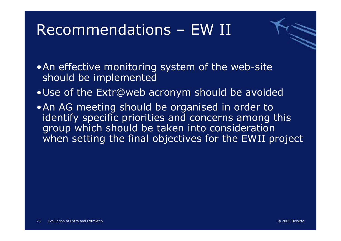### Recommendations – EW II



•An effective monitoring system of the web-site should be implemented

- •Use of the Extr@web acronym should be avoided
- •An AG meeting should be organised in order to identify specific priorities and concerns among this group which should be taken into consideration when setting the final objectives for the EWII project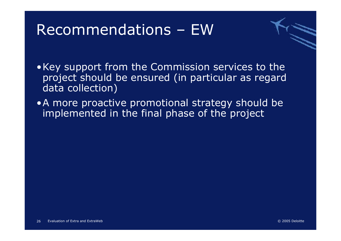### Recommendations – EW



- •Key support from the Commission services to the project should be ensured (in particular as regard data collection)
- •A more proactive promotional strategy should be implemented in the final phase of the project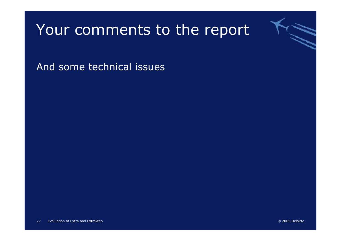#### Your comments to the report

And some technical issues